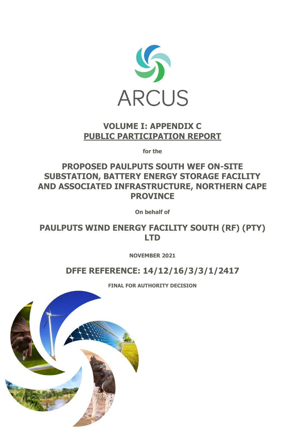

## **VOLUME I: APPENDIX C PUBLIC PARTICIPATION REPORT**

**for the** 

# **PROPOSED PAULPUTS SOUTH WEF ON-SITE SUBSTATION, BATTERY ENERGY STORAGE FACILITY AND ASSOCIATED INFRASTRUCTURE, NORTHERN CAPE PROVINCE**

**On behalf of**

**PAULPUTS WIND ENERGY FACILITY SOUTH (RF) (PTY) LTD**

**NOVEMBER 2021**

# **DFFE REFERENCE: 14/12/16/3/3/1/2417**

**FINAL FOR AUTHORITY DECISION**

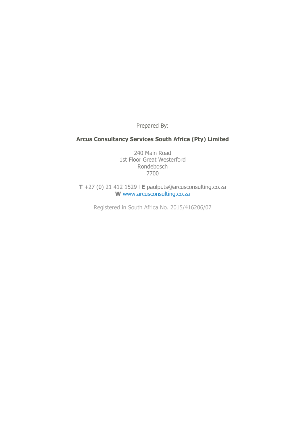Prepared By:

## **Arcus Consultancy Services South Africa (Pty) Limited**

240 Main Road 1st Floor Great Westerford Rondebosch 7700

**T** +27 (0) 21 412 1529 l **E** paulputs@arcusconsulting.co.za **W** www.arcusconsulting.co.za

Registered in South Africa No. 2015/416206/07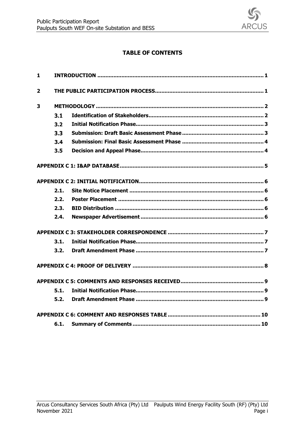

## **TABLE OF CONTENTS**

| 1                       |      |  |  |  |  |
|-------------------------|------|--|--|--|--|
| $\overline{\mathbf{2}}$ |      |  |  |  |  |
| 3                       |      |  |  |  |  |
|                         | 3.1  |  |  |  |  |
|                         | 3.2  |  |  |  |  |
|                         | 3.3  |  |  |  |  |
|                         | 3.4  |  |  |  |  |
|                         | 3.5  |  |  |  |  |
|                         |      |  |  |  |  |
|                         |      |  |  |  |  |
|                         | 2.1. |  |  |  |  |
|                         | 2.2. |  |  |  |  |
|                         | 2.3. |  |  |  |  |
|                         | 2.4. |  |  |  |  |
|                         |      |  |  |  |  |
|                         | 3.1. |  |  |  |  |
|                         | 3.2. |  |  |  |  |
|                         |      |  |  |  |  |
|                         |      |  |  |  |  |
|                         | 5.1. |  |  |  |  |
|                         | 5.2. |  |  |  |  |
|                         |      |  |  |  |  |
|                         | 6.1. |  |  |  |  |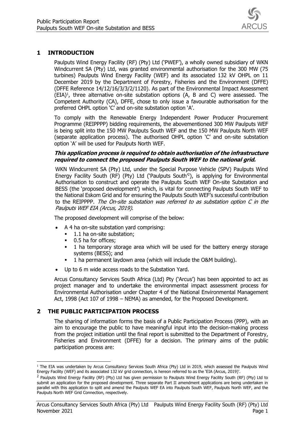

## <span id="page-3-0"></span>**1 INTRODUCTION**

Paulputs Wind Energy Facility (RF) (Pty) Ltd ('PWEF'), a wholly owned subsidiary of WKN Windcurrent SA (Pty) Ltd, was granted environmental authorisation for the 300 MW (75 turbines) Paulputs Wind Energy Facility (WEF) and its associated 132 kV OHPL on 11 December 2019 by the Department of Forestry, Fisheries and the Environment (DFFE) (DFFE Reference 14/12/16/3/3/2/1120). As part of the Environmental Impact Assessment  $(EIA)^1$ , three alternative on-site substation options  $(A, B, A)$  and C) were assessed. The Competent Authority (CA), DFFE, chose to only issue a favourable authorisation for the preferred OHPL option 'C' and on-site substation option 'A'.

To comply with the Renewable Energy Independent Power Producer Procurement Programme (REIPPPP) bidding requirements, the abovementioned 300 MW Paulputs WEF is being split into the 150 MW Paulputs South WEF and the 150 MW Paulputs North WEF (separate application process). The authorised OHPL option 'C' and on-site substation option 'A' will be used for Paulputs North WEF.

#### **This application process is required to obtain authorisation of the infrastructure required to connect the proposed Paulputs South WEF to the national grid.**

WKN Windcurrent SA (Pty) Ltd, under the Special Purpose Vehicle (SPV) Paulputs Wind Energy Facility South (RF) (Pty) Ltd ('Paulputs South<sup>'2</sup>), is applying for Environmental Authorisation to construct and operate the Paulputs South WEF On-site Substation and BESS (the 'proposed development') which, is vital for connecting Paulputs South WEF to the National Eskom Grid and for ensuring the Paulputs South WEF's successful contribution to the REIPPPP. The On-site substation was referred to as substation option C in the Paulputs WEF EIA (Arcus, 2019).

The proposed development will comprise of the below:

- A 4 ha on-site substation yard comprising:
	- 1.1 ha on-site substation:
	- 0.5 ha for offices:
	- 1 ha temporary storage area which will be used for the battery energy storage systems (BESS); and
	- 1 ha permanent laydown area (which will include the O&M building).
- Up to 6 m wide access roads to the Substation Yard.

Arcus Consultancy Services South Africa (Ltd) Pty ('Arcus') has been appointed to act as project manager and to undertake the environmental impact assessment process for Environmental Authorisation under Chapter 4 of the National Environmental Management Act, 1998 (Act 107 of 1998 – NEMA) as amended, for the Proposed Development.

## <span id="page-3-1"></span>**2 THE PUBLIC PARTICIPATION PROCESS**

The sharing of information forms the basis of a Public Participation Process (PPP), with an aim to encourage the public to have meaningful input into the decision-making process from the project initiation until the final report is submitted to the Department of Forestry, Fisheries and Environment (DFFE) for a decision. The primary aims of the public participation process are:

 $1$  The EIA was undertaken by Arcus Consultancy Services South Africa (Pty) Ltd in 2019, which assessed the Paulputs Wind Energy Facility (WEF) and its associated 132 kV grid connection, is hereon referred to as the 'EIA (Arcus, 2019)'.

<sup>&</sup>lt;sup>2</sup> Paulputs Wind Energy Facility (RF) (Pty) Ltd has given permission to Paulputs Wind Energy Facility South (RF) (Pty) Ltd to submit an application for the proposed development. Three separate Part II amendment applications are being undertaken in parallel with this application to split and amend the Paulputs WEF EA into Paulputs South WEF, Paulputs North WEF, and the Paulputs North WEF Grid Connection, respectively.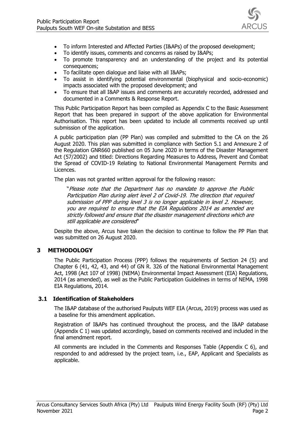

- To inform Interested and Affected Parties (I&APs) of the proposed development;
- To identify issues, comments and concerns as raised by I&APs;
- To promote transparency and an understanding of the project and its potential consequences;
- To facilitate open dialogue and liaise with all I&APs;
- To assist in identifying potential environmental (biophysical and socio-economic) impacts associated with the proposed development; and
- To ensure that all I&AP issues and comments are accurately recorded, addressed and documented in a Comments & Response Report.

This Public Participation Report has been compiled as Appendix C to the Basic Assessment Report that has been prepared in support of the above application for Environmental Authorisation. This report has been updated to include all comments received up until submission of the application.

A public participation plan (PP Plan) was compiled and submitted to the CA on the 26 August 2020. This plan was submitted in compliance with Section 5.1 and Annexure 2 of the Regulation GNR660 published on 05 June 2020 in terms of the Disaster Management Act (57/2002) and titled: Directions Regarding Measures to Address, Prevent and Combat the Spread of COVID-19 Relating to National Environmental Management Permits and Licences.

The plan was not granted written approval for the following reason:

"Please note that the Department has no mandate to approve the Public Participation Plan during alert level 2 of Covid-19. The direction that required submission of PPP during level 3 is no longer applicable in level 2. However, you are required to ensure that the EIA Regulations 2014 as amended are strictly followed and ensure that the disaster management directions which are still applicable are considered"

Despite the above, Arcus have taken the decision to continue to follow the PP Plan that was submitted on 26 August 2020.

### <span id="page-4-0"></span>**3 METHODOLOGY**

The Public Participation Process (PPP) follows the requirements of Section 24 (5) and Chapter 6 (41, 42, 43, and 44) of GN R. 326 of the National Environmental Management Act, 1998 (Act 107 of 1998) (NEMA) Environmental Impact Assessment (EIA) Regulations, 2014 (as amended), as well as the Public Participation Guidelines in terms of NEMA, 1998 EIA Regulations, 2014.

#### <span id="page-4-1"></span>**Identification of Stakeholders**

The I&AP database of the authorised Paulputs WEF EIA (Arcus, 2019) process was used as a baseline for this amendment application.

Registration of I&APs has continued throughout the process, and the I&AP database (Appendix C 1) was updated accordingly, based on comments received and included in the final amendment report.

All comments are included in the Comments and Responses Table (Appendix C 6), and responded to and addressed by the project team, i.e., EAP, Applicant and Specialists as applicable.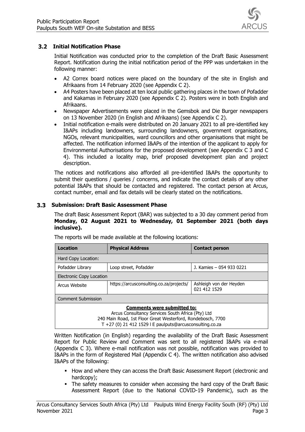

### <span id="page-5-0"></span>**Initial Notification Phase**

Initial Notification was conducted prior to the completion of the Draft Basic Assessment Report. Notification during the initial notification period of the PPP was undertaken in the following manner:

- A2 Correx board notices were placed on the boundary of the site in English and Afrikaans from 14 February 2020 (see Appendix C 2).
- A4 Posters have been placed at ten local public gathering places in the town of Pofadder and Kakamas in February 2020 (see Appendix C 2). Posters were in both English and Afrikaans.
- Newspaper Advertisements were placed in the Gemsbok and Die Burger newspapers on 13 November 2020 (in English and Afrikaans) (see Appendix C 2).
- Initial notification e-mails were distributed on 20 January 2021 to all pre-identified key I&APs including landowners, surrounding landowners, government organisations, NGOs, relevant municipalities, ward councillors and other organisations that might be affected. The notification informed I&APs of the intention of the applicant to apply for Environmental Authorisations for the proposed development (see Appendix C 3 and C 4). This included a locality map, brief proposed development plan and project description.

The notices and notifications also afforded all pre-identified I&APs the opportunity to submit their questions / queries / concerns, and indicate the contact details of any other potential I&APs that should be contacted and registered. The contact person at Arcus, contact number, email and fax details will be clearly stated on the notifications.

### <span id="page-5-1"></span>**Submission: Draft Basic Assessment Phase**

The draft Basic Assessment Report (BAR) was subjected to a 30 day comment period from **Monday, 02 August 2021 to Wednesday, 01 September 2021 (both days inclusive).** 

| Location                                                                                                                                                                                                           | <b>Physical Address</b>                 | <b>Contact person</b>                   |  |  |  |
|--------------------------------------------------------------------------------------------------------------------------------------------------------------------------------------------------------------------|-----------------------------------------|-----------------------------------------|--|--|--|
| Hard Copy Location:                                                                                                                                                                                                |                                         |                                         |  |  |  |
| Pofadder Library                                                                                                                                                                                                   | Loop street, Pofadder                   | J. Kamies - 054 933 0221                |  |  |  |
| Electronic Copy Location                                                                                                                                                                                           |                                         |                                         |  |  |  |
| Arcus Website                                                                                                                                                                                                      | https://arcusconsulting.co.za/projects/ | Ashleigh von der Heyden<br>021 412 1529 |  |  |  |
| <b>Comment Submission</b>                                                                                                                                                                                          |                                         |                                         |  |  |  |
| <b>Comments were submitted to:</b><br>Arcus Consultancy Services South Africa (Pty) Ltd<br>240 Main Road, 1st Floor Great Westerford, Rondebosch, 7700<br>T +27 (0) 21 412 1529   E paulputs@arcusconsulting.co.za |                                         |                                         |  |  |  |

The reports will be made available at the following locations:

Written Notification (in English) regarding the availability of the Draft Basic Assessment Report for Public Review and Comment was sent to all registered I&APs via e-mail (Appendix C 3). Where e-mail notification was not possible, notification was provided to I&APs in the form of Registered Mail (Appendix C 4). The written notification also advised I&APs of the following:

- How and where they can access the Draft Basic Assessment Report (electronic and hardcopy);
- The safety measures to consider when accessing the hard copy of the Draft Basic Assessment Report (due to the National COVID-19 Pandemic), such as the